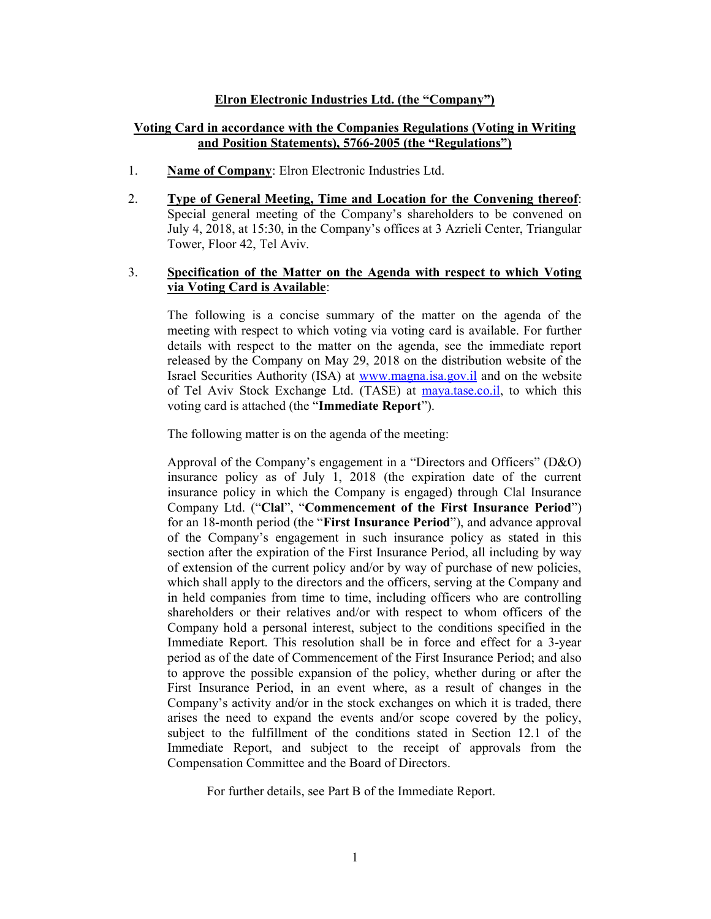# Elron Electronic Industries Ltd. (the "Company")

# Voting Card in accordance with the Companies Regulations (Voting in Writing and Position Statements), 5766-2005 (the "Regulations")

- 1. Name of Company: Elron Electronic Industries Ltd.
- 2. Type of General Meeting, Time and Location for the Convening thereof: Special general meeting of the Company's shareholders to be convened on July 4, 2018, at 15:30, in the Company's offices at 3 Azrieli Center, Triangular Tower, Floor 42, Tel Aviv.

# 3. Specification of the Matter on the Agenda with respect to which Voting via Voting Card is Available:

The following is a concise summary of the matter on the agenda of the meeting with respect to which voting via voting card is available. For further details with respect to the matter on the agenda, see the immediate report released by the Company on May 29, 2018 on the distribution website of the Israel Securities Authority (ISA) at www.magna.isa.gov.il and on the website of Tel Aviv Stock Exchange Ltd. (TASE) at maya.tase.co.il, to which this voting card is attached (the "Immediate Report").

The following matter is on the agenda of the meeting:

Approval of the Company's engagement in a "Directors and Officers" (D&O) insurance policy as of July 1, 2018 (the expiration date of the current insurance policy in which the Company is engaged) through Clal Insurance Company Ltd. ("Clal", "Commencement of the First Insurance Period") for an 18-month period (the "First Insurance Period"), and advance approval of the Company's engagement in such insurance policy as stated in this section after the expiration of the First Insurance Period, all including by way of extension of the current policy and/or by way of purchase of new policies, which shall apply to the directors and the officers, serving at the Company and in held companies from time to time, including officers who are controlling shareholders or their relatives and/or with respect to whom officers of the Company hold a personal interest, subject to the conditions specified in the Immediate Report. This resolution shall be in force and effect for a 3-year period as of the date of Commencement of the First Insurance Period; and also to approve the possible expansion of the policy, whether during or after the First Insurance Period, in an event where, as a result of changes in the Company's activity and/or in the stock exchanges on which it is traded, there arises the need to expand the events and/or scope covered by the policy, subject to the fulfillment of the conditions stated in Section 12.1 of the Immediate Report, and subject to the receipt of approvals from the Compensation Committee and the Board of Directors.

For further details, see Part B of the Immediate Report.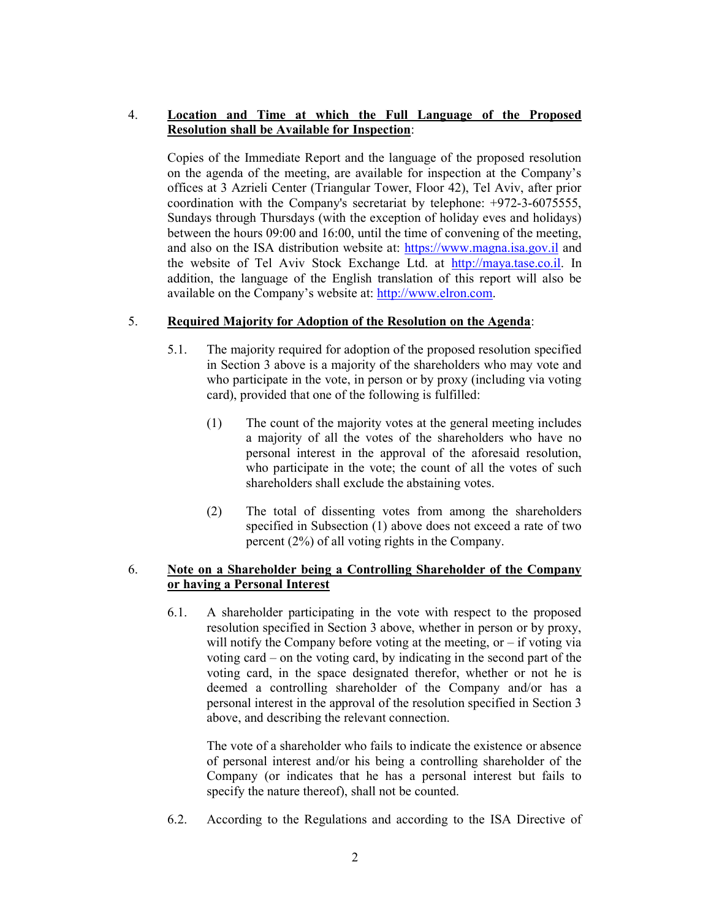# 4. Location and Time at which the Full Language of the Proposed Resolution shall be Available for Inspection:

Copies of the Immediate Report and the language of the proposed resolution on the agenda of the meeting, are available for inspection at the Company's offices at 3 Azrieli Center (Triangular Tower, Floor 42), Tel Aviv, after prior coordination with the Company's secretariat by telephone: +972-3-6075555, Sundays through Thursdays (with the exception of holiday eves and holidays) between the hours 09:00 and 16:00, until the time of convening of the meeting, and also on the ISA distribution website at: https://www.magna.isa.gov.il and the website of Tel Aviv Stock Exchange Ltd. at http://maya.tase.co.il. In addition, the language of the English translation of this report will also be available on the Company's website at: http://www.elron.com.

# 5. Required Majority for Adoption of the Resolution on the Agenda:

- 5.1. The majority required for adoption of the proposed resolution specified in Section 3 above is a majority of the shareholders who may vote and who participate in the vote, in person or by proxy (including via voting card), provided that one of the following is fulfilled:
	- (1) The count of the majority votes at the general meeting includes a majority of all the votes of the shareholders who have no personal interest in the approval of the aforesaid resolution, who participate in the vote; the count of all the votes of such shareholders shall exclude the abstaining votes.
	- (2) The total of dissenting votes from among the shareholders specified in Subsection (1) above does not exceed a rate of two percent (2%) of all voting rights in the Company.

# 6. Note on a Shareholder being a Controlling Shareholder of the Company or having a Personal Interest

6.1. A shareholder participating in the vote with respect to the proposed resolution specified in Section 3 above, whether in person or by proxy, will notify the Company before voting at the meeting, or  $-$  if voting via voting card – on the voting card, by indicating in the second part of the voting card, in the space designated therefor, whether or not he is deemed a controlling shareholder of the Company and/or has a personal interest in the approval of the resolution specified in Section 3 above, and describing the relevant connection.

The vote of a shareholder who fails to indicate the existence or absence of personal interest and/or his being a controlling shareholder of the Company (or indicates that he has a personal interest but fails to specify the nature thereof), shall not be counted.

6.2. According to the Regulations and according to the ISA Directive of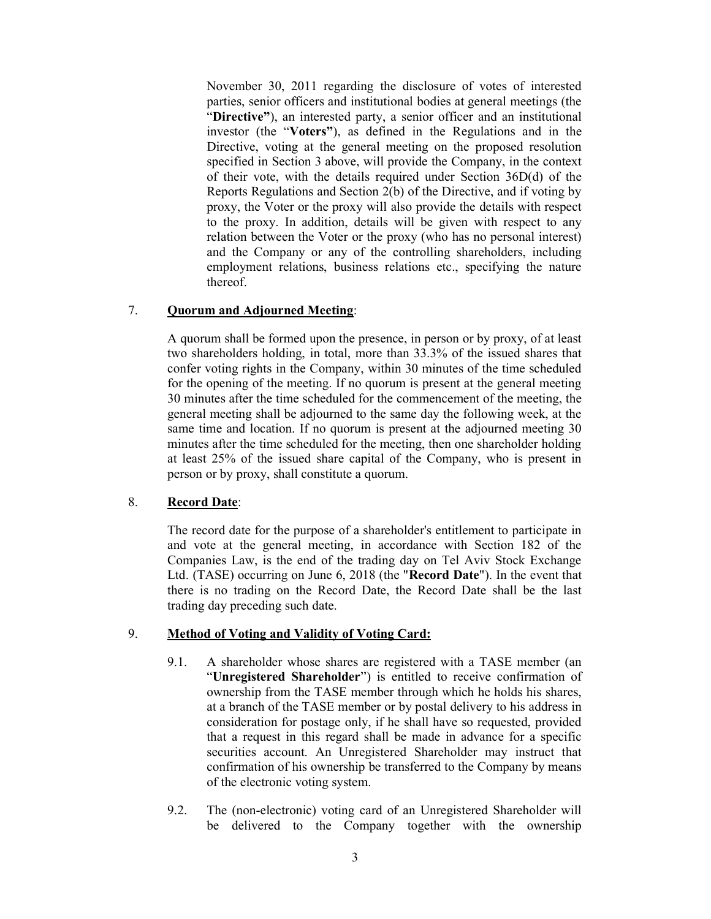November 30, 2011 regarding the disclosure of votes of interested parties, senior officers and institutional bodies at general meetings (the "Directive"), an interested party, a senior officer and an institutional investor (the "Voters"), as defined in the Regulations and in the Directive, voting at the general meeting on the proposed resolution specified in Section 3 above, will provide the Company, in the context of their vote, with the details required under Section 36D(d) of the Reports Regulations and Section 2(b) of the Directive, and if voting by proxy, the Voter or the proxy will also provide the details with respect to the proxy. In addition, details will be given with respect to any relation between the Voter or the proxy (who has no personal interest) and the Company or any of the controlling shareholders, including employment relations, business relations etc., specifying the nature thereof.

# 7. Quorum and Adjourned Meeting:

A quorum shall be formed upon the presence, in person or by proxy, of at least two shareholders holding, in total, more than 33.3% of the issued shares that confer voting rights in the Company, within 30 minutes of the time scheduled for the opening of the meeting. If no quorum is present at the general meeting 30 minutes after the time scheduled for the commencement of the meeting, the general meeting shall be adjourned to the same day the following week, at the same time and location. If no quorum is present at the adjourned meeting 30 minutes after the time scheduled for the meeting, then one shareholder holding at least 25% of the issued share capital of the Company, who is present in person or by proxy, shall constitute a quorum.

## 8. Record Date:

The record date for the purpose of a shareholder's entitlement to participate in and vote at the general meeting, in accordance with Section 182 of the Companies Law, is the end of the trading day on Tel Aviv Stock Exchange Ltd. (TASE) occurring on June 6, 2018 (the "Record Date"). In the event that there is no trading on the Record Date, the Record Date shall be the last trading day preceding such date.

## 9. Method of Voting and Validity of Voting Card:

- 9.1. A shareholder whose shares are registered with a TASE member (an "Unregistered Shareholder") is entitled to receive confirmation of ownership from the TASE member through which he holds his shares, at a branch of the TASE member or by postal delivery to his address in consideration for postage only, if he shall have so requested, provided that a request in this regard shall be made in advance for a specific securities account. An Unregistered Shareholder may instruct that confirmation of his ownership be transferred to the Company by means of the electronic voting system.
- 9.2. The (non-electronic) voting card of an Unregistered Shareholder will be delivered to the Company together with the ownership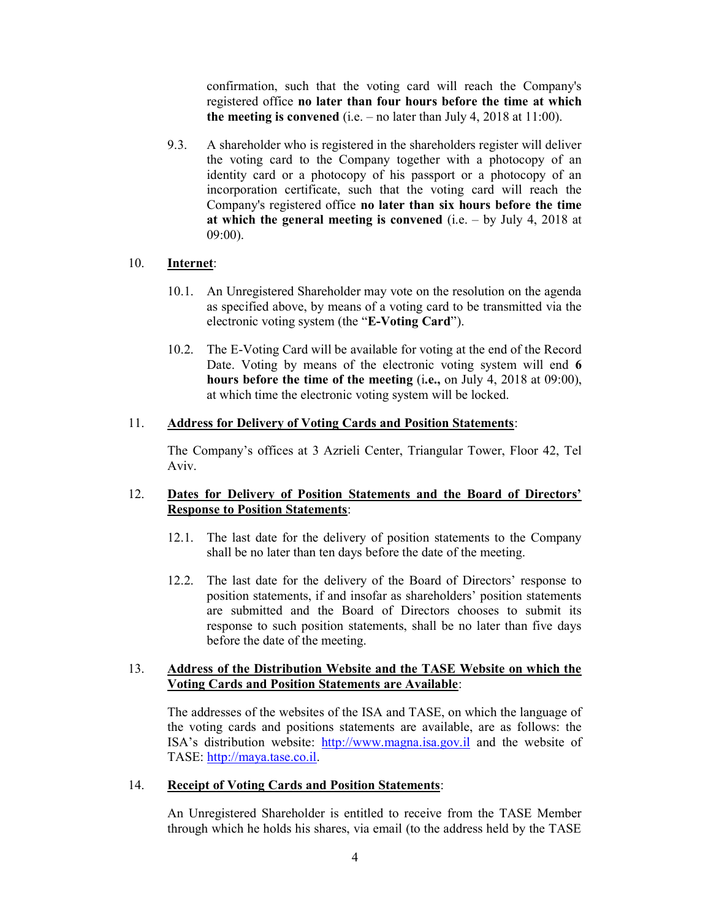confirmation, such that the voting card will reach the Company's registered office no later than four hours before the time at which the meeting is convened (i.e.  $-$  no later than July 4, 2018 at 11:00).

9.3. A shareholder who is registered in the shareholders register will deliver the voting card to the Company together with a photocopy of an identity card or a photocopy of his passport or a photocopy of an incorporation certificate, such that the voting card will reach the Company's registered office no later than six hours before the time at which the general meeting is convened (i.e.  $-$  by July 4, 2018 at 09:00).

## 10. Internet:

- 10.1. An Unregistered Shareholder may vote on the resolution on the agenda as specified above, by means of a voting card to be transmitted via the electronic voting system (the "E-Voting Card").
- 10.2. The E-Voting Card will be available for voting at the end of the Record Date. Voting by means of the electronic voting system will end 6 hours before the time of the meeting (i.e., on July 4, 2018 at 09:00), at which time the electronic voting system will be locked.

#### 11. Address for Delivery of Voting Cards and Position Statements:

The Company's offices at 3 Azrieli Center, Triangular Tower, Floor 42, Tel Aviv.

## 12. Dates for Delivery of Position Statements and the Board of Directors' Response to Position Statements:

- 12.1. The last date for the delivery of position statements to the Company shall be no later than ten days before the date of the meeting.
- 12.2. The last date for the delivery of the Board of Directors' response to position statements, if and insofar as shareholders' position statements are submitted and the Board of Directors chooses to submit its response to such position statements, shall be no later than five days before the date of the meeting.

#### 13. Address of the Distribution Website and the TASE Website on which the Voting Cards and Position Statements are Available:

The addresses of the websites of the ISA and TASE, on which the language of the voting cards and positions statements are available, are as follows: the ISA's distribution website: http://www.magna.isa.gov.il and the website of TASE: http://maya.tase.co.il.

#### 14. Receipt of Voting Cards and Position Statements:

An Unregistered Shareholder is entitled to receive from the TASE Member through which he holds his shares, via email (to the address held by the TASE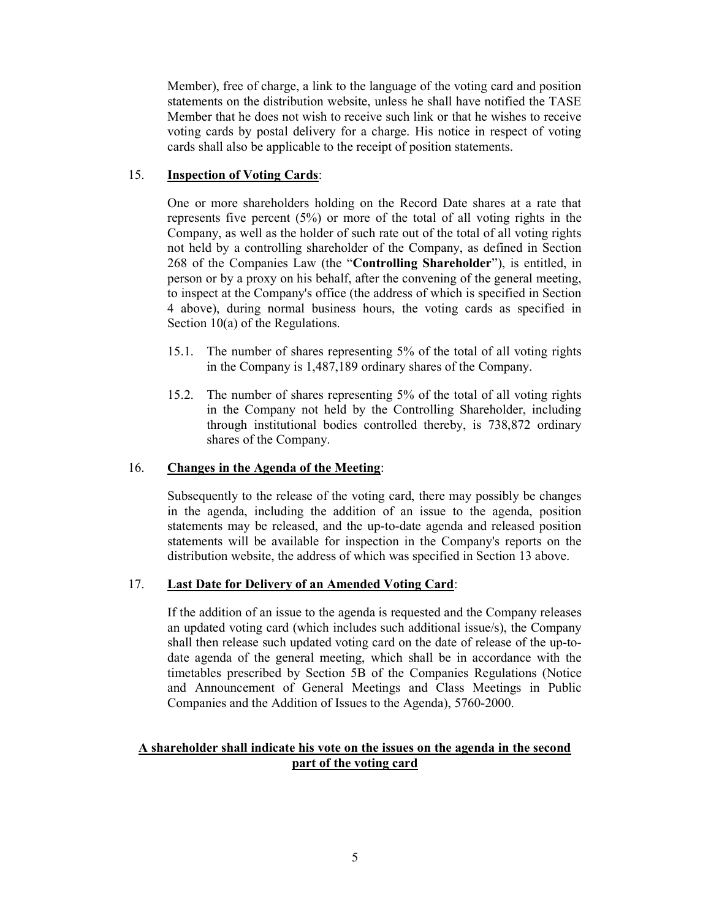Member), free of charge, a link to the language of the voting card and position statements on the distribution website, unless he shall have notified the TASE Member that he does not wish to receive such link or that he wishes to receive voting cards by postal delivery for a charge. His notice in respect of voting cards shall also be applicable to the receipt of position statements.

# 15. Inspection of Voting Cards:

One or more shareholders holding on the Record Date shares at a rate that represents five percent (5%) or more of the total of all voting rights in the Company, as well as the holder of such rate out of the total of all voting rights not held by a controlling shareholder of the Company, as defined in Section 268 of the Companies Law (the "Controlling Shareholder"), is entitled, in person or by a proxy on his behalf, after the convening of the general meeting, to inspect at the Company's office (the address of which is specified in Section 4 above), during normal business hours, the voting cards as specified in Section 10(a) of the Regulations.

- 15.1. The number of shares representing 5% of the total of all voting rights in the Company is 1,487,189 ordinary shares of the Company.
- 15.2. The number of shares representing 5% of the total of all voting rights in the Company not held by the Controlling Shareholder, including through institutional bodies controlled thereby, is 738,872 ordinary shares of the Company.

# 16. Changes in the Agenda of the Meeting:

Subsequently to the release of the voting card, there may possibly be changes in the agenda, including the addition of an issue to the agenda, position statements may be released, and the up-to-date agenda and released position statements will be available for inspection in the Company's reports on the distribution website, the address of which was specified in Section 13 above.

## 17. Last Date for Delivery of an Amended Voting Card:

If the addition of an issue to the agenda is requested and the Company releases an updated voting card (which includes such additional issue/s), the Company shall then release such updated voting card on the date of release of the up-todate agenda of the general meeting, which shall be in accordance with the timetables prescribed by Section 5B of the Companies Regulations (Notice and Announcement of General Meetings and Class Meetings in Public Companies and the Addition of Issues to the Agenda), 5760-2000.

# A shareholder shall indicate his vote on the issues on the agenda in the second part of the voting card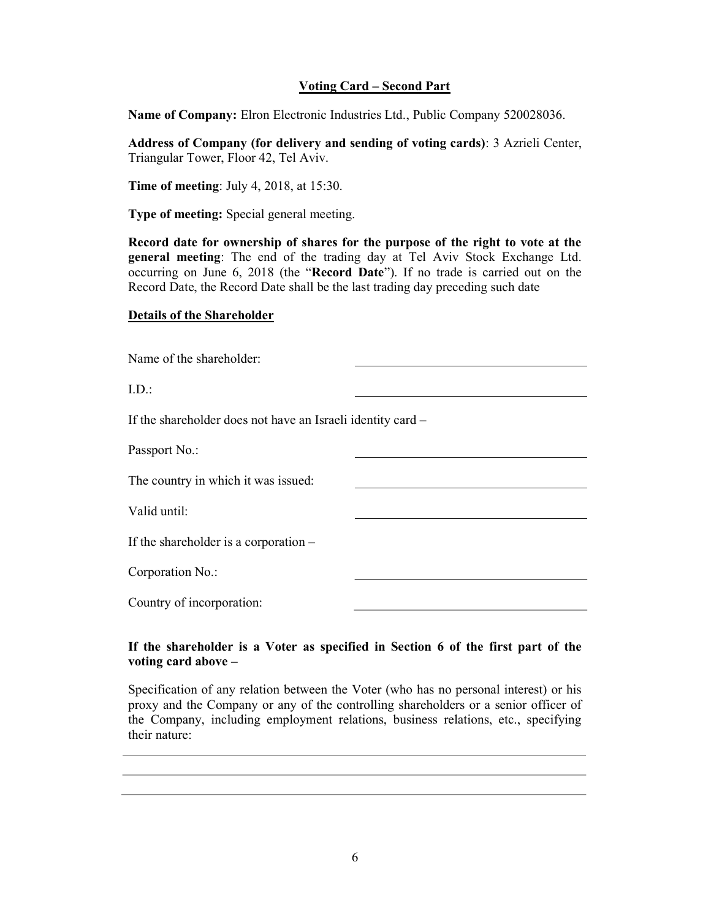# Voting Card – Second Part

Name of Company: Elron Electronic Industries Ltd., Public Company 520028036.

Address of Company (for delivery and sending of voting cards): 3 Azrieli Center, Triangular Tower, Floor 42, Tel Aviv.

Time of meeting: July 4, 2018, at 15:30.

Type of meeting: Special general meeting.

Record date for ownership of shares for the purpose of the right to vote at the general meeting: The end of the trading day at Tel Aviv Stock Exchange Ltd. occurring on June 6, 2018 (the "Record Date"). If no trade is carried out on the Record Date, the Record Date shall be the last trading day preceding such date

#### Details of the Shareholder

Name of the shareholder:

I.D.:

If the shareholder does not have an Israeli identity card –

Passport No.:

The country in which it was issued:

Valid until:

If the shareholder is a corporation –

Corporation No.:

Country of incorporation:

## If the shareholder is a Voter as specified in Section 6 of the first part of the voting card above –

Specification of any relation between the Voter (who has no personal interest) or his proxy and the Company or any of the controlling shareholders or a senior officer of the Company, including employment relations, business relations, etc., specifying their nature: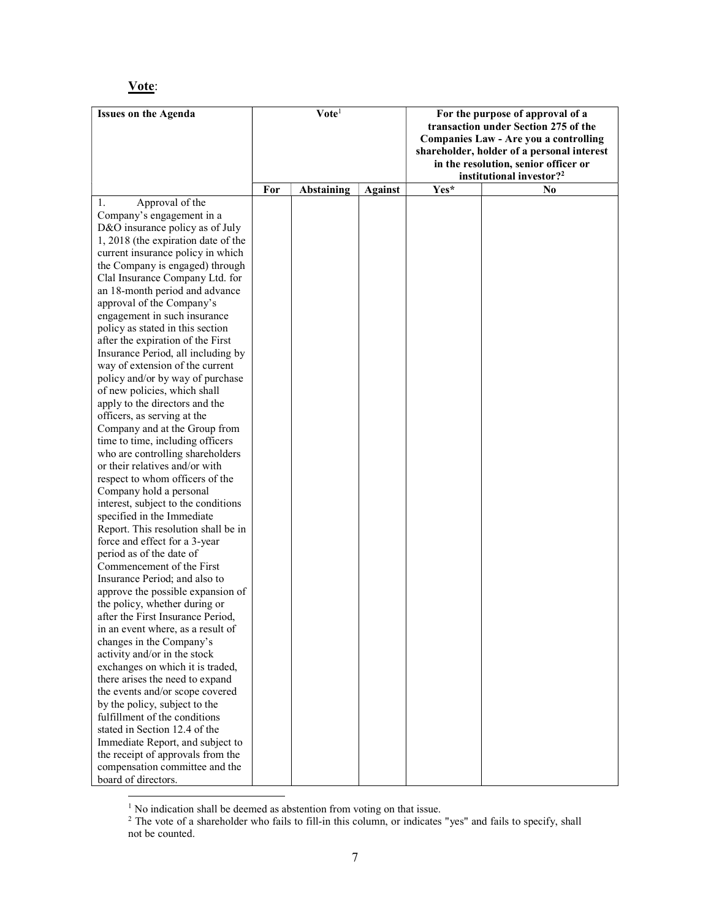# Vote:

| <b>Issues on the Agenda</b>                                          | $\mathbf{V}$ ote <sup>1</sup> |                   |                | For the purpose of approval of a<br>transaction under Section 275 of the<br>Companies Law - Are you a controlling |                                                                                                                            |
|----------------------------------------------------------------------|-------------------------------|-------------------|----------------|-------------------------------------------------------------------------------------------------------------------|----------------------------------------------------------------------------------------------------------------------------|
|                                                                      |                               |                   |                |                                                                                                                   | shareholder, holder of a personal interest<br>in the resolution, senior officer or<br>institutional investor? <sup>2</sup> |
|                                                                      | For                           | <b>Abstaining</b> | <b>Against</b> | $Yes^*$                                                                                                           | N <sub>0</sub>                                                                                                             |
| Approval of the<br>1.                                                |                               |                   |                |                                                                                                                   |                                                                                                                            |
| Company's engagement in a                                            |                               |                   |                |                                                                                                                   |                                                                                                                            |
| D&O insurance policy as of July                                      |                               |                   |                |                                                                                                                   |                                                                                                                            |
| 1, 2018 (the expiration date of the                                  |                               |                   |                |                                                                                                                   |                                                                                                                            |
| current insurance policy in which                                    |                               |                   |                |                                                                                                                   |                                                                                                                            |
| the Company is engaged) through                                      |                               |                   |                |                                                                                                                   |                                                                                                                            |
| Clal Insurance Company Ltd. for                                      |                               |                   |                |                                                                                                                   |                                                                                                                            |
| an 18-month period and advance                                       |                               |                   |                |                                                                                                                   |                                                                                                                            |
| approval of the Company's                                            |                               |                   |                |                                                                                                                   |                                                                                                                            |
| engagement in such insurance                                         |                               |                   |                |                                                                                                                   |                                                                                                                            |
| policy as stated in this section                                     |                               |                   |                |                                                                                                                   |                                                                                                                            |
| after the expiration of the First                                    |                               |                   |                |                                                                                                                   |                                                                                                                            |
| Insurance Period, all including by                                   |                               |                   |                |                                                                                                                   |                                                                                                                            |
| way of extension of the current                                      |                               |                   |                |                                                                                                                   |                                                                                                                            |
| policy and/or by way of purchase                                     |                               |                   |                |                                                                                                                   |                                                                                                                            |
| of new policies, which shall                                         |                               |                   |                |                                                                                                                   |                                                                                                                            |
| apply to the directors and the                                       |                               |                   |                |                                                                                                                   |                                                                                                                            |
| officers, as serving at the                                          |                               |                   |                |                                                                                                                   |                                                                                                                            |
| Company and at the Group from                                        |                               |                   |                |                                                                                                                   |                                                                                                                            |
| time to time, including officers<br>who are controlling shareholders |                               |                   |                |                                                                                                                   |                                                                                                                            |
| or their relatives and/or with                                       |                               |                   |                |                                                                                                                   |                                                                                                                            |
| respect to whom officers of the                                      |                               |                   |                |                                                                                                                   |                                                                                                                            |
| Company hold a personal                                              |                               |                   |                |                                                                                                                   |                                                                                                                            |
| interest, subject to the conditions                                  |                               |                   |                |                                                                                                                   |                                                                                                                            |
| specified in the Immediate                                           |                               |                   |                |                                                                                                                   |                                                                                                                            |
| Report. This resolution shall be in                                  |                               |                   |                |                                                                                                                   |                                                                                                                            |
| force and effect for a 3-year                                        |                               |                   |                |                                                                                                                   |                                                                                                                            |
| period as of the date of                                             |                               |                   |                |                                                                                                                   |                                                                                                                            |
| Commencement of the First                                            |                               |                   |                |                                                                                                                   |                                                                                                                            |
| Insurance Period; and also to                                        |                               |                   |                |                                                                                                                   |                                                                                                                            |
| approve the possible expansion of                                    |                               |                   |                |                                                                                                                   |                                                                                                                            |
| the policy, whether during or                                        |                               |                   |                |                                                                                                                   |                                                                                                                            |
| after the First Insurance Period,                                    |                               |                   |                |                                                                                                                   |                                                                                                                            |
| in an event where, as a result of                                    |                               |                   |                |                                                                                                                   |                                                                                                                            |
| changes in the Company's                                             |                               |                   |                |                                                                                                                   |                                                                                                                            |
| activity and/or in the stock                                         |                               |                   |                |                                                                                                                   |                                                                                                                            |
| exchanges on which it is traded,                                     |                               |                   |                |                                                                                                                   |                                                                                                                            |
| there arises the need to expand                                      |                               |                   |                |                                                                                                                   |                                                                                                                            |
| the events and/or scope covered                                      |                               |                   |                |                                                                                                                   |                                                                                                                            |
| by the policy, subject to the                                        |                               |                   |                |                                                                                                                   |                                                                                                                            |
| fulfillment of the conditions                                        |                               |                   |                |                                                                                                                   |                                                                                                                            |
| stated in Section 12.4 of the                                        |                               |                   |                |                                                                                                                   |                                                                                                                            |
| Immediate Report, and subject to                                     |                               |                   |                |                                                                                                                   |                                                                                                                            |
| the receipt of approvals from the                                    |                               |                   |                |                                                                                                                   |                                                                                                                            |
| compensation committee and the                                       |                               |                   |                |                                                                                                                   |                                                                                                                            |
| board of directors.                                                  |                               |                   |                |                                                                                                                   |                                                                                                                            |

<sup>&</sup>lt;sup>1</sup> No indication shall be deemed as abstention from voting on that issue.<br><sup>2</sup> The vote of a shareholder who fails to fill-in this column, or indicates "yes" and fails to specify, shall not be counted.